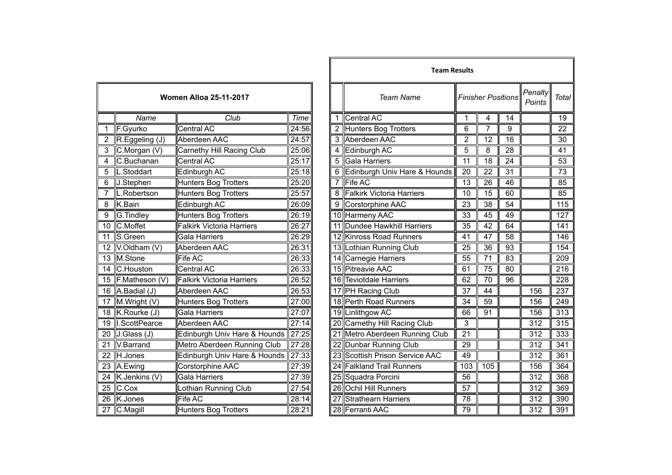|                 | <b>Women Alloa 25-11-2017</b> |                                  |       |  |  |  |  |  |  |
|-----------------|-------------------------------|----------------------------------|-------|--|--|--|--|--|--|
|                 | Name                          | Club                             | Time  |  |  |  |  |  |  |
| $\overline{1}$  | F.Gyurko                      | <b>Central AC</b>                | 24:56 |  |  |  |  |  |  |
| $\overline{2}$  | R.Eggeling (J)                | Aberdeen AAC                     | 24:57 |  |  |  |  |  |  |
| 3               | C.Morgan (V)                  | Carnethy Hill Racing Club        | 25:06 |  |  |  |  |  |  |
| $\overline{4}$  | C.Buchanan                    | Central AC                       | 25:17 |  |  |  |  |  |  |
| 5               | L.Stoddart                    | Edinburgh AC                     | 25:18 |  |  |  |  |  |  |
| $\overline{6}$  | J.Stephen                     | <b>Hunters Bog Trotters</b>      | 25:20 |  |  |  |  |  |  |
| 7               | L.Robertson                   | <b>Hunters Bog Trotters</b>      | 25:57 |  |  |  |  |  |  |
| 8               | K.Bain                        | Edinburgh AC                     | 26:09 |  |  |  |  |  |  |
| $\overline{9}$  | <b>G.Tindley</b>              | <b>Hunters Bog Trotters</b>      | 26:19 |  |  |  |  |  |  |
| 10              | C.Moffet                      | <b>Falkirk Victoria Harriers</b> | 26:27 |  |  |  |  |  |  |
| $\overline{11}$ | S.Green                       | <b>Gala Harriers</b>             | 26:29 |  |  |  |  |  |  |
| 12              | V.Oldham (V)                  | Aberdeen AAC                     | 26:31 |  |  |  |  |  |  |
| $\overline{13}$ | M.Stone                       | Fife AC                          | 26:33 |  |  |  |  |  |  |
| $\overline{14}$ | C.Houston                     | <b>Central AC</b>                | 26:33 |  |  |  |  |  |  |
| 15              | F.Matheson (V)                | <b>Falkirk Victoria Harriers</b> | 26:52 |  |  |  |  |  |  |
| $\overline{16}$ | A.Badial (J)                  | Aberdeen AAC                     | 26:53 |  |  |  |  |  |  |
| 17              | M.Wright (V)                  | <b>Hunters Bog Trotters</b>      | 27:00 |  |  |  |  |  |  |
| $\overline{18}$ | K.Rourke (J)                  | <b>Gala Harriers</b>             | 27:07 |  |  |  |  |  |  |
| 19              | I.ScottPearce                 | Aberdeen AAC                     | 27:14 |  |  |  |  |  |  |
| $\overline{20}$ | J.Glass (J)                   | Edinburgh Univ Hare & Hounds     | 27:25 |  |  |  |  |  |  |
| $\overline{21}$ | V.Barrand                     | Metro Aberdeen Running Club      | 27:28 |  |  |  |  |  |  |
| 22              | H.Jones                       | Edinburgh Univ Hare & Hounds     | 27:33 |  |  |  |  |  |  |
| $\overline{23}$ | A.Ewing                       | Corstorphine AAC                 | 27:39 |  |  |  |  |  |  |
| $\overline{24}$ | K.Jenkins (V)                 | <b>Gala Harriers</b>             | 27:39 |  |  |  |  |  |  |
| $\overline{25}$ | C.Cox                         | Lothian Running Club             | 27:54 |  |  |  |  |  |  |
| $\overline{26}$ | K.Jones                       | <b>Fife AC</b>                   | 28:14 |  |  |  |  |  |  |
| $\overline{27}$ | C.Magill                      | <b>Hunters Bog Trotters</b>      | 28:21 |  |  |  |  |  |  |

|                         |                          |                                    |       |  |   | <b>Team Results</b>            |                 |                           |                 |                   |                 |  |  |
|-------------------------|--------------------------|------------------------------------|-------|--|---|--------------------------------|-----------------|---------------------------|-----------------|-------------------|-----------------|--|--|
|                         |                          | <b>Women Alloa 25-11-2017</b>      |       |  |   | <b>Team Name</b>               |                 | <b>Finisher Positions</b> |                 | Penalty<br>Points | <b>Total</b>    |  |  |
|                         | Name                     | Club                               | Time  |  |   | 1 Central AC                   |                 | 4                         | 14              |                   | 19              |  |  |
| $\mathbf{1}$            | F.Gyurko                 | <b>Central AC</b>                  | 24:56 |  |   | 2 Hunters Bog Trotters         | 6               | 7                         | 9               |                   | $\overline{22}$ |  |  |
| $\overline{2}$          | R.Eggeling (J)           | Aberdeen AAC                       | 24:57 |  |   | 3 Aberdeen AAC                 | 2               | 12                        | 16              |                   | 30              |  |  |
|                         | C.Morgan (V)             | Carnethy Hill Racing Club          | 25:06 |  | 4 | Edinburgh AC                   | 5               | 8                         | 28              |                   | 41              |  |  |
| $\overline{\mathbf{4}}$ | C.Buchanan               | Central AC                         | 25:17 |  | 5 | Gala Harriers                  | 11              | 18                        | 24              |                   | 53              |  |  |
| 5                       | IL.Stoddart              | Edinburgh AC                       | 25:18 |  |   | 6 Edinburgh Univ Hare & Hounds | 20              | 22                        | 31              |                   | 73              |  |  |
| 6                       | J.Stephen                | <b>Hunters Bog Trotters</b>        | 25:20 |  | 7 | <b>Fife AC</b>                 | 13              | 26                        | 46              |                   | 85              |  |  |
| 7                       | L.Robertson              | <b>Hunters Bog Trotters</b>        | 25:57 |  |   | 8 Falkirk Victoria Harriers    | 10              | 15                        | 60              |                   | 85              |  |  |
| 8                       | K.Bain                   | Edinburgh AC                       | 26:09 |  |   | 9 Corstorphine AAC             | 23              | 38                        | 54              |                   | 115             |  |  |
| 9                       | G.Tindley                | <b>Hunters Bog Trotters</b>        | 26:19 |  |   | 10 Harmeny AAC                 | 33              | 45                        | 49              |                   | 127             |  |  |
| 10                      | C.Moffet                 | <b>Falkirk Victoria Harriers</b>   | 26:27 |  |   | 11 Dundee Hawkhill Harriers    | 35              | 42                        | 64              |                   | 141             |  |  |
| $\overline{11}$         | S.Green                  | <b>Gala Harriers</b>               | 26:29 |  |   | 12 Kinross Road Runners        | 41              | 47                        | $\overline{58}$ |                   | 146             |  |  |
|                         | 12 $V$ .Oldham $(V)$     | Aberdeen AAC                       | 26:31 |  |   | 13 Lothian Running Club        | 25              | 36                        | 93              |                   | 154             |  |  |
|                         | 13 M.Stone               | Fife AC                            | 26:33 |  |   | 14 Carnegie Harriers           | 55              | 71                        | 83              |                   | 209             |  |  |
|                         | 14 C.Houston             | <b>Central AC</b>                  | 26:33 |  |   | 15 Pitreavie AAC               | 61              | $\overline{75}$           | 80              |                   | 216             |  |  |
|                         | 15 F.Matheson (V)        | <b>Falkirk Victoria Harriers</b>   | 26:52 |  |   | 16 Teviotdale Harriers         | 62              | 70                        | 96              |                   | 228             |  |  |
|                         | 16 $A.$ Badial (J)       | Aberdeen AAC                       | 26:53 |  |   | 17 PH Racing Club              | 37              | 44                        |                 | 156               | 237             |  |  |
| 17                      | M.Wright (V)             | Hunters Bog Trotters               | 27:00 |  |   | 18 Perth Road Runners          | 34              | 59                        |                 | 156               | 249             |  |  |
|                         | 18 K.Rourke (J)          | <b>Gala Harriers</b>               | 27:07 |  |   | 19 Linlithgow AC               | 66              | 91                        |                 | 156               | 313             |  |  |
|                         | 19 I.ScottPearce         | Aberdeen AAC                       | 27:14 |  |   | 20 Carnethy Hill Racing Club   | 3               |                           |                 | 312               | 315             |  |  |
| $\overline{20}$         | J.Glass (J)              | Edinburgh Univ Hare & Hounds 27:25 |       |  |   | 21 Metro Aberdeen Running Club | 21              |                           |                 | 312               | 333             |  |  |
| 21                      | V.Barrand                | Metro Aberdeen Running Club        | 27:28 |  |   | 22 Dunbar Running Club         | 29              |                           |                 | 312               | 341             |  |  |
|                         | 22 H.Jones               | Edinburgh Univ Hare & Hounds       | 27:33 |  |   | 23 Scottish Prison Service AAC | 49              |                           |                 | 312               | 361             |  |  |
| 23                      | A.Ewing                  | Corstorphine AAC                   | 27:39 |  |   | 24 Falkland Trail Runners      | 103             | 105                       |                 | 156               | 364             |  |  |
|                         | 24 K.Jenkins (V)         | <b>Gala Harriers</b>               | 27:39 |  |   | 25 Squadra Porcini             | 56              |                           |                 | 312               | 368             |  |  |
| $\overline{25}$         | $C$ . $C$ ox             | <b>Lothian Running Club</b>        | 27:54 |  |   | 26 Ochil Hill Runners          | $\overline{57}$ |                           |                 | 312               | 369             |  |  |
| 26                      | K.Jones                  | Fife AC                            | 28:14 |  |   | 27 Strathearn Harriers         | 78              |                           |                 | 312               | 390             |  |  |
|                         | $\overline{27}$ C.Magill | <b>Hunters Bog Trotters</b>        | 28:21 |  |   | 28 Ferranti AAC                | 79              |                           |                 | 312               | 391             |  |  |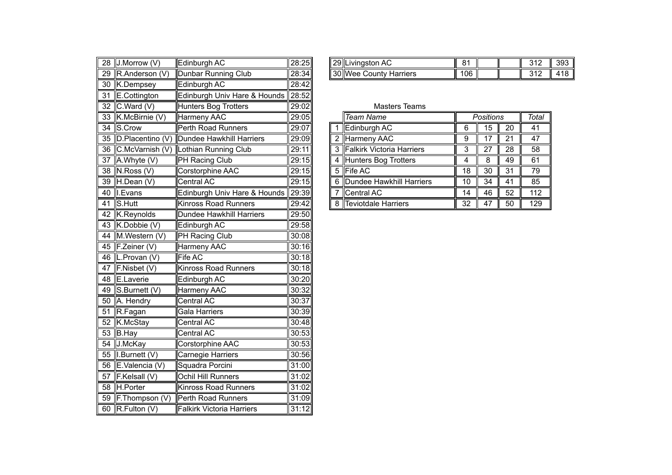|    | 28 J.Morrow (V)           | Edinburgh AC                       | 28:25 |                | 29 Livingston AC                 | 81               |                  |                 | 312  |
|----|---------------------------|------------------------------------|-------|----------------|----------------------------------|------------------|------------------|-----------------|------|
|    | 29 R.Anderson (V)         | <b>Dunbar Running Club</b>         | 28:34 |                | 30 Wee County Harriers           | 106              |                  |                 | 312  |
|    |                           | Edinburgh AC                       | 28:42 |                |                                  |                  |                  |                 |      |
|    | 30 K.Dempsey              |                                    |       |                |                                  |                  |                  |                 |      |
| 31 | E.Cottington              | Edinburgh Univ Hare & Hounds       | 28:52 |                |                                  |                  |                  |                 |      |
| 32 | C.Ward (V)                | <b>Hunters Bog Trotters</b>        | 29:02 |                | <b>Masters Teams</b>             |                  |                  |                 |      |
|    | 33 K.McBirnie (V)         | Harmeny AAC                        | 29:05 |                | <b>Team Name</b>                 |                  | <b>Positions</b> |                 | Tota |
|    | 34 S.Crow                 | <b>Perth Road Runners</b>          | 29:07 | $\overline{1}$ | Edinburgh AC                     | $\,6$            | $\overline{15}$  | $\overline{20}$ | 41   |
|    | 35 D.Placentino (V)       | Dundee Hawkhill Harriers           | 29:09 |                | 2 Harmeny AAC                    | $\boldsymbol{9}$ | 17               | 21              | 47   |
|    | 36 C.McVarnish (V)        | Lothian Running Club               | 29:11 | 3              | <b>Falkirk Victoria Harriers</b> | 3                | 27               | 28              | 58   |
|    | 37 $A. Whyte (V)$         | PH Racing Club                     | 29:15 | 4              | Hunters Bog Trotters             | 4                | 8                | 49              | 61   |
|    | 38 N.Ross (V)             | Corstorphine AAC                   | 29:15 | 5              | <b>Fife AC</b>                   | 18               | 30               | 31              | 79   |
|    | 39 H.Dean (V)             | Central AC                         | 29:15 | 6              | Dundee Hawkhill Harriers         | 10               | 34               | 41              | 85   |
|    | 40    Evans               | Edinburgh Univ Hare & Hounds 29:39 |       | 7              | Central AC                       | 14               | 46               | 52              | 112  |
|    | 41 $S$ . Hutt             | <b>Kinross Road Runners</b>        | 29:42 |                | 8 Teviotdale Harriers            | 32               | 47               | 50              | 129  |
|    | 42 K.Reynolds             | Dundee Hawkhill Harriers           | 29:50 |                |                                  |                  |                  |                 |      |
|    | 43 K.Dobbie (V)           | Edinburgh AC                       | 29:58 |                |                                  |                  |                  |                 |      |
|    | 44 M.Western (V)          | PH Racing Club                     | 30:08 |                |                                  |                  |                  |                 |      |
|    | 45 F.Zeiner (V)           | <b>Harmeny AAC</b>                 | 30:16 |                |                                  |                  |                  |                 |      |
|    | 46 L.Provan (V)           | Fife AC                            | 30:18 |                |                                  |                  |                  |                 |      |
| 47 | F.Nisbet(V)               | Kinross Road Runners               | 30:18 |                |                                  |                  |                  |                 |      |
|    | $\overline{48}$ E.Laverie | Edinburgh AC                       | 30:20 |                |                                  |                  |                  |                 |      |
|    | 49 S.Burnett (V)          | Harmeny AAC                        | 30:32 |                |                                  |                  |                  |                 |      |
|    | 50 A. Hendry              | Central AC                         | 30:37 |                |                                  |                  |                  |                 |      |
|    | 51 R.Fagan                | Gala Harriers                      | 30:39 |                |                                  |                  |                  |                 |      |
|    | 52 K.McStay               | Central AC                         | 30:48 |                |                                  |                  |                  |                 |      |
|    | 53 B.Hay                  | Central AC                         | 30:53 |                |                                  |                  |                  |                 |      |
|    | 54 J.McKay                | Corstorphine AAC                   | 30:53 |                |                                  |                  |                  |                 |      |
|    | 55  I.Burnett (V)         | Carnegie Harriers                  | 30:56 |                |                                  |                  |                  |                 |      |
|    | 56 E.Valencia (V)         | Squadra Porcini                    | 31:00 |                |                                  |                  |                  |                 |      |
| 57 | F.Kelsall (V)             | Ochil Hill Runners                 | 31:02 |                |                                  |                  |                  |                 |      |
| 58 | H.Porter                  | <b>Kinross Road Runners</b>        | 31:02 |                |                                  |                  |                  |                 |      |
|    | 59 F. Thompson (V)        | Perth Road Runners                 | 31:09 |                |                                  |                  |                  |                 |      |
|    | 60 $R$ . Fulton (V)       | <b>Falkirk Victoria Harriers</b>   | 31:12 |                |                                  |                  |                  |                 |      |

| 28:34<br>106<br>29<br><b>130 Wee</b><br>-lR<br>Club<br>$\mathbf{a}$<br>Harriers<br>Andersor<br>' ountyٽ<br><b>II</b> Dunbar<br>Running<br>,,,<br>$\ddotsc$<br>. . | 28 | (V)<br><b>Prrow</b><br>Morr<br>- ΙΙν. | .<br>າ AC<br>∠dinburah | 28:25 |  | <b>∥29 Livingston AC</b> | o. |  | .<br>. . | ാറി<br>ບອບ |
|-------------------------------------------------------------------------------------------------------------------------------------------------------------------|----|---------------------------------------|------------------------|-------|--|--------------------------|----|--|----------|------------|
|                                                                                                                                                                   |    |                                       |                        |       |  |                          |    |  |          |            |

| ا ۱۷، ۱۷۵۱ تا ۲۷ ک | $\blacksquare$                               | ∣∠9.U∠∥ |  | <b>IVIASICIS ICAIIIS</b>         |    |                  |    |       |
|--------------------|----------------------------------------------|---------|--|----------------------------------|----|------------------|----|-------|
| 33 K.McBirnie (V)  | Harmeny AAC                                  | 29:05   |  | Team Name                        |    | <b>Positions</b> |    | Total |
| 34 S.Crow          | Perth Road Runners                           | 29:07   |  | Edinburgh AC                     |    | 15               | 20 | 41    |
|                    | 35 D.Placentino (V) Dundee Hawkhill Harriers | 29:09   |  | 2 Harmeny AAC                    |    |                  | 21 | 47    |
| 36 C.McVarnish (V) | Lothian Running Club                         | 29:11   |  | <b>Falkirk Victoria Harriers</b> |    |                  | 28 | 58    |
| 37 A.Whyte $(V)$   | <b>PH Racing Club</b>                        | 29:15   |  | Hunters Bog Trotters             |    |                  | 49 | 61    |
| 38 N.Ross (V)      | Corstorphine AAC                             | 29:15   |  | 5 Fife AC                        | 18 | 30               | 31 | 79    |
| 39 H.Dean (V)      | Central AC                                   | 29:15   |  | 6 Dundee Hawkhill Harriers       | 10 | 34               | 41 | 85    |
| 40 I.Evans         | Edinburgh Univ Hare & Hounds 29:39           |         |  | Central AC                       | 14 | 46               | 52 | 112   |
| 41 S.Hutt          | Kinross Road Runners                         | 29:42   |  | Teviotdale Harriers              | 32 | 47               | 50 | 129   |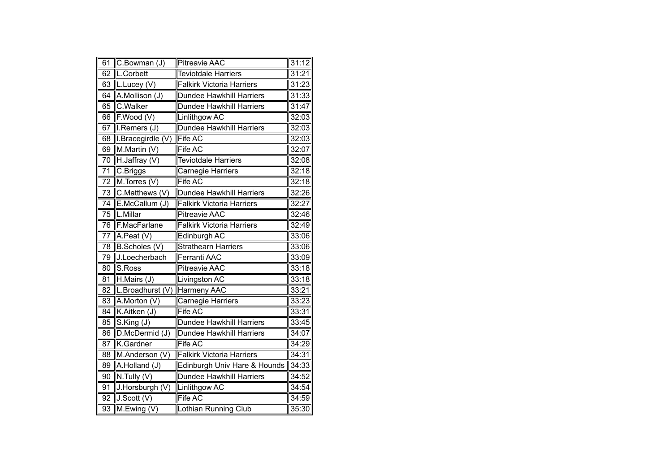| 61              | C.Bowman (J)               | <b>Pitreavie AAC</b>             | 31:12 |
|-----------------|----------------------------|----------------------------------|-------|
| $\overline{62}$ | L.Corbett                  | <b>Teviotdale Harriers</b>       | 31:21 |
| 63              | L.Lucey (V)                | <b>Falkirk Victoria Harriers</b> | 31:23 |
| 64              | A.Mollison (J)             | Dundee Hawkhill Harriers         | 31:33 |
| 65              | C.Walker                   | Dundee Hawkhill Harriers         | 31:47 |
| 66              | $\overline{F}$ . Wood (V)  | Linlithgow AC                    | 32:03 |
| 67              | I.Remers (J)               | <b>Dundee Hawkhill Harriers</b>  | 32:03 |
| 68              | I.Bracegirdle (V)          | <b>Fife AC</b>                   | 32:03 |
| 69              | M.Martin (V)               | Fife AC                          | 32:07 |
| 70              | H.Jaffray (V)              | <b>Teviotdale Harriers</b>       | 32:08 |
| 71              | C.Briggs                   | Carnegie Harriers                | 32:18 |
| 72              | M.Torres (V)               | Fife AC                          | 32:18 |
| 73              | C.Matthews (V)             | Dundee Hawkhill Harriers         | 32:26 |
| 74              | E.McCallum (J)             | <b>Falkirk Victoria Harriers</b> | 32:27 |
| 75              | L.Millar                   | <b>Pitreavie AAC</b>             | 32:46 |
| 76              | F.MacFarlane               | <b>Falkirk Victoria Harriers</b> | 32:49 |
| 77              | A.Peat (V)                 | Edinburgh AC                     | 33:06 |
| $\overline{78}$ | B.Scholes (V)              | <b>Strathearn Harriers</b>       | 33:06 |
| 79              | J.Loecherbach              | <b>Ferranti AAC</b>              | 33:09 |
| 80              | S.Ross                     | <b>Pitreavie AAC</b>             | 33:18 |
| 81              | H.Mairs (J)                | Livingston AC                    | 33:18 |
| 82              | L.Broadhurst (V)           | <b>Harmeny AAC</b>               | 33:21 |
| 83              | A.Morton (V)               | Carnegie Harriers                | 33:23 |
| 84              | K.Aitken (J)               | Fife AC                          | 33:31 |
| 85              | S.King(J)                  | <b>Dundee Hawkhill Harriers</b>  | 33:45 |
| 86              | D.McDermid (J)             | Dundee Hawkhill Harriers         | 34:07 |
| 87              | K.Gardner                  | Fife AC                          | 34:29 |
| 88              | M.Anderson (V)             | <b>Falkirk Victoria Harriers</b> | 34:31 |
| 89              | A.Holland (J)              | Edinburgh Univ Hare & Hounds     | 34:33 |
| 90              | N.Tully (V)                | Dundee Hawkhill Harriers         | 34:52 |
| 91              | J.Horsburgh (V)            | Linlithgow AC                    | 34:54 |
| 92              | J.Scott (V)                | Fife AC                          | 34:59 |
| 93              | $\overline{M}$ . Ewing (V) | Lothian Running Club             | 35:30 |